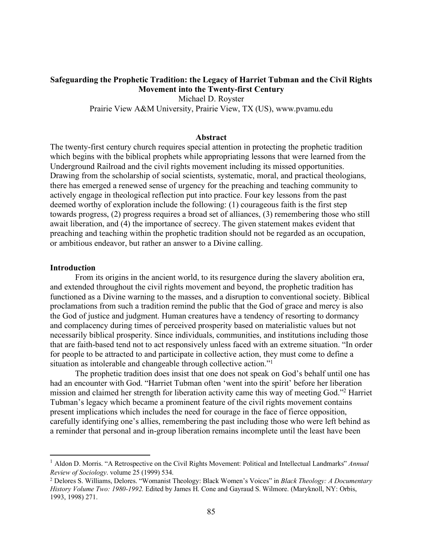# **Safeguarding the Prophetic Tradition: the Legacy of Harriet Tubman and the Civil Rights Movement into the Twenty-first Century** Michael D. Royster

Prairie View A&M University, Prairie View, TX (US), www.pvamu.edu

### **Abstract**

The twenty-first century church requires special attention in protecting the prophetic tradition which begins with the biblical prophets while appropriating lessons that were learned from the Underground Railroad and the civil rights movement including its missed opportunities. Drawing from the scholarship of social scientists, systematic, moral, and practical theologians, there has emerged a renewed sense of urgency for the preaching and teaching community to actively engage in theological reflection put into practice. Four key lessons from the past deemed worthy of exploration include the following: (1) courageous faith is the first step towards progress, (2) progress requires a broad set of alliances, (3) remembering those who still await liberation, and (4) the importance of secrecy. The given statement makes evident that preaching and teaching within the prophetic tradition should not be regarded as an occupation, or ambitious endeavor, but rather an answer to a Divine calling.

### **Introduction**

 $\overline{\phantom{a}}$ 

 From its origins in the ancient world, to its resurgence during the slavery abolition era, and extended throughout the civil rights movement and beyond, the prophetic tradition has functioned as a Divine warning to the masses, and a disruption to conventional society. Biblical proclamations from such a tradition remind the public that the God of grace and mercy is also the God of justice and judgment. Human creatures have a tendency of resorting to dormancy and complacency during times of perceived prosperity based on materialistic values but not necessarily biblical prosperity. Since individuals, communities, and institutions including those that are faith-based tend not to act responsively unless faced with an extreme situation. "In order for people to be attracted to and participate in collective action, they must come to define a situation as intolerable and changeable through collective action."<sup>1</sup>

 The prophetic tradition does insist that one does not speak on God's behalf until one has had an encounter with God. "Harriet Tubman often 'went into the spirit' before her liberation mission and claimed her strength for liberation activity came this way of meeting God."2 Harriet Tubman's legacy which became a prominent feature of the civil rights movement contains present implications which includes the need for courage in the face of fierce opposition, carefully identifying one's allies, remembering the past including those who were left behind as a reminder that personal and in-group liberation remains incomplete until the least have been

<sup>1</sup> Aldon D. Morris. "A Retrospective on the Civil Rights Movement: Political and Intellectual Landmarks" *Annual Review of Sociology*. volume 25 (1999) 534.

<sup>2</sup> Delores S. Williams, Delores. "Womanist Theology: Black Women's Voices" in *Black Theology: A Documentary History Volume Two: 1980-1992.* Edited by James H. Cone and Gayraud S. Wilmore. (Maryknoll, NY: Orbis, 1993, 1998) 271.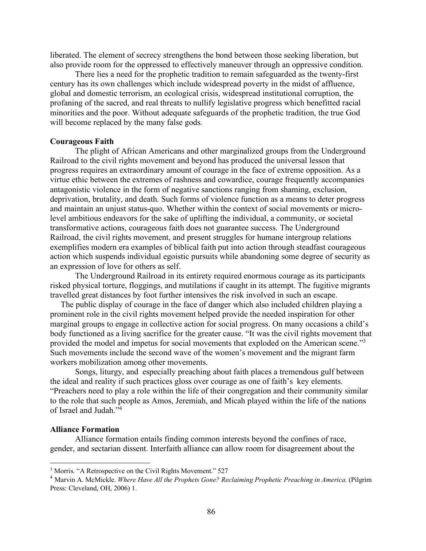liberated. The element of secrecy strengthens the bond between those seeking liberation, but also provide room for the oppressed to effectively maneuver through an oppressive condition.

 There lies a need for the prophetic tradition to remain safeguarded as the twenty-first century has its own challenges which include widespread poverty in the midst of affluence, global and domestic terrorism, an ecological crisis, widespread institutional corruption, the profaning of the sacred, and real threats to nullify legislative progress which benefitted racial minorities and the poor. Without adequate safeguards of the prophetic tradition, the true God will become replaced by the many false gods.

## **Courageous Faith**

 The plight of African Americans and other marginalized groups from the Underground Railroad to the civil rights movement and beyond has produced the universal lesson that progress requires an extraordinary amount of courage in the face of extreme opposition. As a virtue ethic between the extremes of rashness and cowardice, courage frequently accompanies antagonistic violence in the form of negative sanctions ranging from shaming, exclusion, deprivation, brutality, and death. Such forms of violence function as a means to deter progress and maintain an unjust status-quo. Whether within the context of social movements or microlevel ambitious endeavors for the sake of uplifting the individual, a community, or societal transformative actions, courageous faith does not guarantee success. The Underground Railroad, the civil rights movement, and present struggles for humane intergroup relations exemplifies modern era examples of biblical faith put into action through steadfast courageous action which suspends individual egoistic pursuits while abandoning some degree of security as an expression of love for others as self.

 The Underground Railroad in its entirety required enormous courage as its participants risked physical torture, floggings, and mutilations if caught in its attempt. The fugitive migrants travelled great distances by foot further intensives the risk involved in such an escape.

 The public display of courage in the face of danger which also included children playing a prominent role in the civil rights movement helped provide the needed inspiration for other marginal groups to engage in collective action for social progress. On many occasions a child's body functioned as a living sacrifice for the greater cause. "It was the civil rights movement that provided the model and impetus for social movements that exploded on the American scene."3 Such movements include the second wave of the women's movement and the migrant farm workers mobilization among other movements.

 Songs, liturgy, and especially preaching about faith places a tremendous gulf between the ideal and reality if such practices gloss over courage as one of faith's key elements. "Preachers need to play a role within the life of their congregation and their community similar to the role that such people as Amos, Jeremiah, and Micah played within the life of the nations of Israel and Judah."4

# **Alliance Formation**

l

 Alliance formation entails finding common interests beyond the confines of race, gender, and sectarian dissent. Interfaith alliance can allow room for disagreement about the

<sup>&</sup>lt;sup>3</sup> Morris. "A Retrospective on the Civil Rights Movement." 527

<sup>4</sup> Marvin A. McMickle. *Where Have All the Prophets Gone? Reclaiming Prophetic Preaching in America*. (Pilgrim Press: Cleveland, OH, 2006) 1.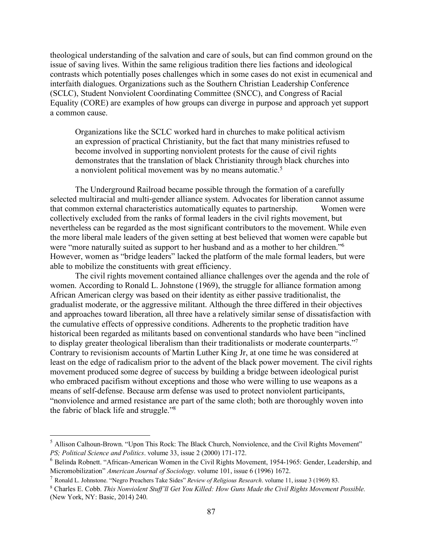theological understanding of the salvation and care of souls, but can find common ground on the issue of saving lives. Within the same religious tradition there lies factions and ideological contrasts which potentially poses challenges which in some cases do not exist in ecumenical and interfaith dialogues. Organizations such as the Southern Christian Leadership Conference (SCLC), Student Nonviolent Coordinating Committee (SNCC), and Congress of Racial Equality (CORE) are examples of how groups can diverge in purpose and approach yet support a common cause.

Organizations like the SCLC worked hard in churches to make political activism an expression of practical Christianity, but the fact that many ministries refused to become involved in supporting nonviolent protests for the cause of civil rights demonstrates that the translation of black Christianity through black churches into a nonviolent political movement was by no means automatic.<sup>5</sup>

 The Underground Railroad became possible through the formation of a carefully selected multiracial and multi-gender alliance system. Advocates for liberation cannot assume that common external characteristics automatically equates to partnership. Women were collectively excluded from the ranks of formal leaders in the civil rights movement, but nevertheless can be regarded as the most significant contributors to the movement. While even the more liberal male leaders of the given setting at best believed that women were capable but were "more naturally suited as support to her husband and as a mother to her children."6 However, women as "bridge leaders" lacked the platform of the male formal leaders, but were able to mobilize the constituents with great efficiency.

 The civil rights movement contained alliance challenges over the agenda and the role of women. According to Ronald L. Johnstone (1969), the struggle for alliance formation among African American clergy was based on their identity as either passive traditionalist, the gradualist moderate, or the aggressive militant. Although the three differed in their objectives and approaches toward liberation, all three have a relatively similar sense of dissatisfaction with the cumulative effects of oppressive conditions. Adherents to the prophetic tradition have historical been regarded as militants based on conventional standards who have been "inclined to display greater theological liberalism than their traditionalists or moderate counterparts."7 Contrary to revisionism accounts of Martin Luther King Jr, at one time he was considered at least on the edge of radicalism prior to the advent of the black power movement. The civil rights movement produced some degree of success by building a bridge between ideological purist who embraced pacifism without exceptions and those who were willing to use weapons as a means of self-defense. Because arm defense was used to protect nonviolent participants, "nonviolence and armed resistance are part of the same cloth; both are thoroughly woven into the fabric of black life and struggle."8

l

<sup>5</sup> Allison Calhoun-Brown. "Upon This Rock: The Black Church, Nonviolence, and the Civil Rights Movement" *PS; Political Science and Politics*. volume 33, issue 2 (2000) 171-172.

<sup>6</sup> Belinda Robnett. "African-American Women in the Civil Rights Movement, 1954-1965: Gender, Leadership, and Micromobilization" *American Journal of Sociology*. volume 101, issue 6 (1996) 1672.

<sup>7</sup> Ronald L. Johnstone. "Negro Preachers Take Sides" *Review of Religious Research*. volume 11, issue 3 (1969) 83.

<sup>8</sup> Charles E. Cobb. *This Nonviolent Stuff'll Get You Killed: How Guns Made the Civil Rights Movement Possible.* (New York, NY: Basic, 2014) 240.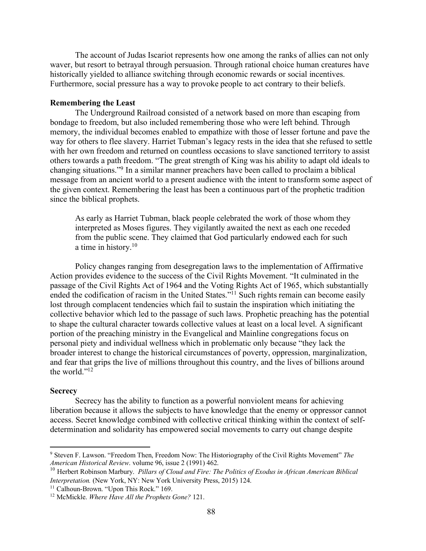The account of Judas Iscariot represents how one among the ranks of allies can not only waver, but resort to betrayal through persuasion. Through rational choice human creatures have historically yielded to alliance switching through economic rewards or social incentives. Furthermore, social pressure has a way to provoke people to act contrary to their beliefs.

### **Remembering the Least**

The Underground Railroad consisted of a network based on more than escaping from bondage to freedom, but also included remembering those who were left behind. Through memory, the individual becomes enabled to empathize with those of lesser fortune and pave the way for others to flee slavery. Harriet Tubman's legacy rests in the idea that she refused to settle with her own freedom and returned on countless occasions to slave sanctioned territory to assist others towards a path freedom. "The great strength of King was his ability to adapt old ideals to changing situations."9 In a similar manner preachers have been called to proclaim a biblical message from an ancient world to a present audience with the intent to transform some aspect of the given context. Remembering the least has been a continuous part of the prophetic tradition since the biblical prophets.

As early as Harriet Tubman, black people celebrated the work of those whom they interpreted as Moses figures. They vigilantly awaited the next as each one receded from the public scene. They claimed that God particularly endowed each for such a time in history.10

 Policy changes ranging from desegregation laws to the implementation of Affirmative Action provides evidence to the success of the Civil Rights Movement. "It culminated in the passage of the Civil Rights Act of 1964 and the Voting Rights Act of 1965, which substantially ended the codification of racism in the United States."<sup>11</sup> Such rights remain can become easily lost through complacent tendencies which fail to sustain the inspiration which initiating the collective behavior which led to the passage of such laws. Prophetic preaching has the potential to shape the cultural character towards collective values at least on a local level. A significant portion of the preaching ministry in the Evangelical and Mainline congregations focus on personal piety and individual wellness which in problematic only because "they lack the broader interest to change the historical circumstances of poverty, oppression, marginalization, and fear that grips the live of millions throughout this country, and the lives of billions around the world."<sup>12</sup>

### **Secrecy**

 $\overline{a}$ 

Secrecy has the ability to function as a powerful nonviolent means for achieving liberation because it allows the subjects to have knowledge that the enemy or oppressor cannot access. Secret knowledge combined with collective critical thinking within the context of selfdetermination and solidarity has empowered social movements to carry out change despite

<sup>9</sup> Steven F. Lawson. "Freedom Then, Freedom Now: The Historiography of the Civil Rights Movement" *The American Historical Review*. volume 96, issue 2 (1991) 462.

<sup>&</sup>lt;sup>10</sup> Herbert Robinson Marbury. *Pillars of Cloud and Fire: The Politics of Exodus in African American Biblical Interpretation.* (New York, NY: New York University Press, 2015) 124.

<sup>&</sup>lt;sup>11</sup> Calhoun-Brown. "Upon This Rock." 169.

<sup>12</sup> McMickle. *Where Have All the Prophets Gone?* 121.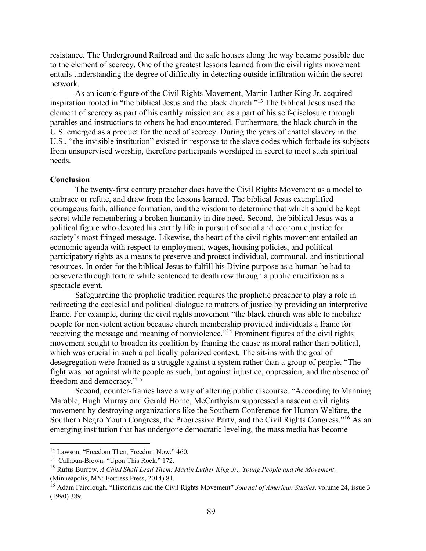resistance. The Underground Railroad and the safe houses along the way became possible due to the element of secrecy. One of the greatest lessons learned from the civil rights movement entails understanding the degree of difficulty in detecting outside infiltration within the secret network.

 As an iconic figure of the Civil Rights Movement, Martin Luther King Jr. acquired inspiration rooted in "the biblical Jesus and the black church."13 The biblical Jesus used the element of secrecy as part of his earthly mission and as a part of his self-disclosure through parables and instructions to others he had encountered. Furthermore, the black church in the U.S. emerged as a product for the need of secrecy. During the years of chattel slavery in the U.S., "the invisible institution" existed in response to the slave codes which forbade its subjects from unsupervised worship, therefore participants worshiped in secret to meet such spiritual needs.

### **Conclusion**

The twenty-first century preacher does have the Civil Rights Movement as a model to embrace or refute, and draw from the lessons learned. The biblical Jesus exemplified courageous faith, alliance formation, and the wisdom to determine that which should be kept secret while remembering a broken humanity in dire need. Second, the biblical Jesus was a political figure who devoted his earthly life in pursuit of social and economic justice for society's most fringed message. Likewise, the heart of the civil rights movement entailed an economic agenda with respect to employment, wages, housing policies, and political participatory rights as a means to preserve and protect individual, communal, and institutional resources. In order for the biblical Jesus to fulfill his Divine purpose as a human he had to persevere through torture while sentenced to death row through a public crucifixion as a spectacle event.

 Safeguarding the prophetic tradition requires the prophetic preacher to play a role in redirecting the ecclesial and political dialogue to matters of justice by providing an interpretive frame. For example, during the civil rights movement "the black church was able to mobilize people for nonviolent action because church membership provided individuals a frame for receiving the message and meaning of nonviolence."14 Prominent figures of the civil rights movement sought to broaden its coalition by framing the cause as moral rather than political, which was crucial in such a politically polarized context. The sit-ins with the goal of desegregation were framed as a struggle against a system rather than a group of people. "The fight was not against white people as such, but against injustice, oppression, and the absence of freedom and democracy."15

 Second, counter-frames have a way of altering public discourse. "According to Manning Marable, Hugh Murray and Gerald Horne, McCarthyism suppressed a nascent civil rights movement by destroying organizations like the Southern Conference for Human Welfare, the Southern Negro Youth Congress, the Progressive Party, and the Civil Rights Congress."16 As an emerging institution that has undergone democratic leveling, the mass media has become

 $\overline{a}$ 

<sup>&</sup>lt;sup>13</sup> Lawson. "Freedom Then, Freedom Now." 460.

<sup>&</sup>lt;sup>14</sup> Calhoun-Brown. "Upon This Rock." 172.

<sup>15</sup> Rufus Burrow. *A Child Shall Lead Them: Martin Luther King Jr., Young People and the Movement*. (Minneapolis, MN: Fortress Press, 2014) 81.

<sup>&</sup>lt;sup>16</sup> Adam Fairclough. "Historians and the Civil Rights Movement" *Journal of American Studies*. volume 24, issue 3 (1990) 389.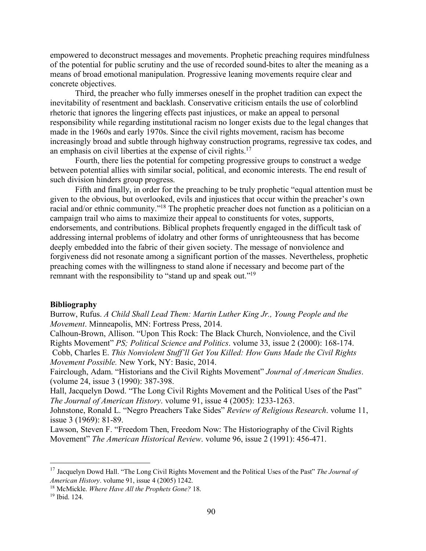empowered to deconstruct messages and movements. Prophetic preaching requires mindfulness of the potential for public scrutiny and the use of recorded sound-bites to alter the meaning as a means of broad emotional manipulation. Progressive leaning movements require clear and concrete objectives.

 Third, the preacher who fully immerses oneself in the prophet tradition can expect the inevitability of resentment and backlash. Conservative criticism entails the use of colorblind rhetoric that ignores the lingering effects past injustices, or make an appeal to personal responsibility while regarding institutional racism no longer exists due to the legal changes that made in the 1960s and early 1970s. Since the civil rights movement, racism has become increasingly broad and subtle through highway construction programs, regressive tax codes, and an emphasis on civil liberties at the expense of civil rights.17

 Fourth, there lies the potential for competing progressive groups to construct a wedge between potential allies with similar social, political, and economic interests. The end result of such division hinders group progress.

 Fifth and finally, in order for the preaching to be truly prophetic "equal attention must be given to the obvious, but overlooked, evils and injustices that occur within the preacher's own racial and/or ethnic community."18 The prophetic preacher does not function as a politician on a campaign trail who aims to maximize their appeal to constituents for votes, supports, endorsements, and contributions. Biblical prophets frequently engaged in the difficult task of addressing internal problems of idolatry and other forms of unrighteousness that has become deeply embedded into the fabric of their given society. The message of nonviolence and forgiveness did not resonate among a significant portion of the masses. Nevertheless, prophetic preaching comes with the willingness to stand alone if necessary and become part of the remnant with the responsibility to "stand up and speak out."<sup>19</sup>

#### **Bibliography**

Burrow, Rufus. *A Child Shall Lead Them: Martin Luther King Jr., Young People and the Movement*. Minneapolis, MN: Fortress Press, 2014.

Calhoun-Brown, Allison. "Upon This Rock: The Black Church, Nonviolence, and the Civil Rights Movement" *PS; Political Science and Politics*. volume 33, issue 2 (2000): 168-174. Cobb, Charles E. *This Nonviolent Stuff'll Get You Killed: How Guns Made the Civil Rights Movement Possible.* New York, NY: Basic, 2014.

Fairclough, Adam. "Historians and the Civil Rights Movement" *Journal of American Studies*. (volume 24, issue 3 (1990): 387-398.

Hall, Jacquelyn Dowd. "The Long Civil Rights Movement and the Political Uses of the Past" *The Journal of American History*. volume 91, issue 4 (2005): 1233-1263.

Johnstone, Ronald L. "Negro Preachers Take Sides" *Review of Religious Research*. volume 11, issue 3 (1969): 81-89.

Lawson, Steven F. "Freedom Then, Freedom Now: The Historiography of the Civil Rights Movement" *The American Historical Review*. volume 96, issue 2 (1991): 456-471.

l

<sup>17</sup> Jacquelyn Dowd Hall. "The Long Civil Rights Movement and the Political Uses of the Past" *The Journal of American History*. volume 91, issue 4 (2005) 1242.

<sup>18</sup> McMickle. *Where Have All the Prophets Gone?* 18.

<sup>19</sup> Ibid. 124.